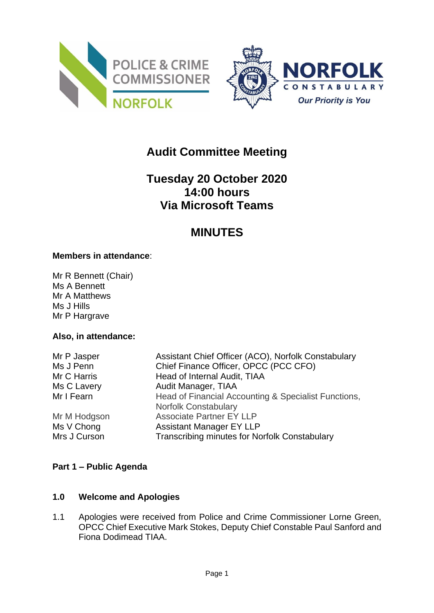



# **Audit Committee Meeting**

# **Tuesday 20 October 2020 14:00 hours Via Microsoft Teams**

## **MINUTES**

#### **Members in attendance**:

Mr R Bennett (Chair) Ms A Bennett Mr A Matthews Ms J Hills Mr P Hargrave

#### **Also, in attendance:**

| Mr P Jasper  | Assistant Chief Officer (ACO), Norfolk Constabulary  |
|--------------|------------------------------------------------------|
| Ms J Penn    | Chief Finance Officer, OPCC (PCC CFO)                |
| Mr C Harris  | Head of Internal Audit, TIAA                         |
| Ms C Lavery  | Audit Manager, TIAA                                  |
| Mr I Fearn   | Head of Financial Accounting & Specialist Functions, |
|              | <b>Norfolk Constabulary</b>                          |
| Mr M Hodgson | <b>Associate Partner EY LLP</b>                      |
| Ms V Chong   | <b>Assistant Manager EY LLP</b>                      |
| Mrs J Curson | Transcribing minutes for Norfolk Constabulary        |

## **Part 1 – Public Agenda**

#### **1.0 Welcome and Apologies**

1.1 Apologies were received from Police and Crime Commissioner Lorne Green, OPCC Chief Executive Mark Stokes, Deputy Chief Constable Paul Sanford and Fiona Dodimead TIAA.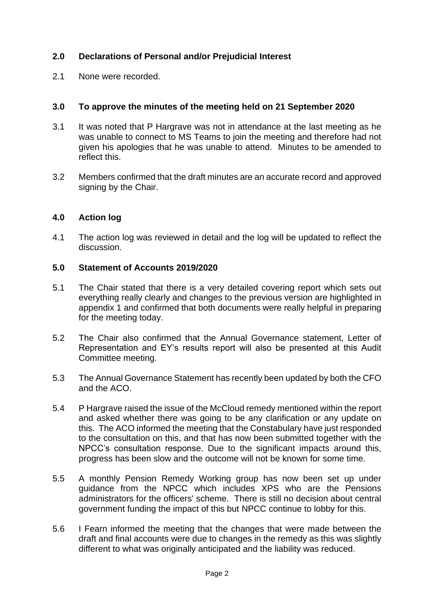## **2.0 Declarations of Personal and/or Prejudicial Interest**

2.1 None were recorded.

### **3.0 To approve the minutes of the meeting held on 21 September 2020**

- 3.1 It was noted that P Hargrave was not in attendance at the last meeting as he was unable to connect to MS Teams to join the meeting and therefore had not given his apologies that he was unable to attend. Minutes to be amended to reflect this.
- 3.2 Members confirmed that the draft minutes are an accurate record and approved signing by the Chair.

#### **4.0 Action log**

4.1 The action log was reviewed in detail and the log will be updated to reflect the discussion.

#### **5.0 Statement of Accounts 2019/2020**

- 5.1 The Chair stated that there is a very detailed covering report which sets out everything really clearly and changes to the previous version are highlighted in appendix 1 and confirmed that both documents were really helpful in preparing for the meeting today.
- 5.2 The Chair also confirmed that the Annual Governance statement, Letter of Representation and EY's results report will also be presented at this Audit Committee meeting.
- 5.3 The Annual Governance Statement has recently been updated by both the CFO and the ACO.
- 5.4 P Hargrave raised the issue of the McCloud remedy mentioned within the report and asked whether there was going to be any clarification or any update on this. The ACO informed the meeting that the Constabulary have just responded to the consultation on this, and that has now been submitted together with the NPCC's consultation response. Due to the significant impacts around this, progress has been slow and the outcome will not be known for some time.
- 5.5 A monthly Pension Remedy Working group has now been set up under guidance from the NPCC which includes XPS who are the Pensions administrators for the officers' scheme. There is still no decision about central government funding the impact of this but NPCC continue to lobby for this.
- 5.6 I Fearn informed the meeting that the changes that were made between the draft and final accounts were due to changes in the remedy as this was slightly different to what was originally anticipated and the liability was reduced.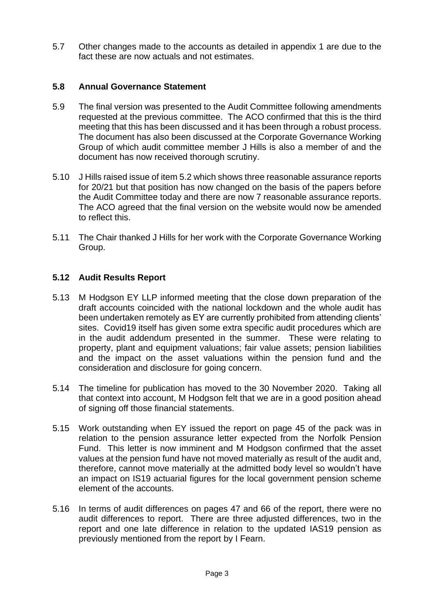5.7 Other changes made to the accounts as detailed in appendix 1 are due to the fact these are now actuals and not estimates.

### **5.8 Annual Governance Statement**

- 5.9 The final version was presented to the Audit Committee following amendments requested at the previous committee. The ACO confirmed that this is the third meeting that this has been discussed and it has been through a robust process. The document has also been discussed at the Corporate Governance Working Group of which audit committee member J Hills is also a member of and the document has now received thorough scrutiny.
- 5.10 J Hills raised issue of item 5.2 which shows three reasonable assurance reports for 20/21 but that position has now changed on the basis of the papers before the Audit Committee today and there are now 7 reasonable assurance reports. The ACO agreed that the final version on the website would now be amended to reflect this.
- 5.11 The Chair thanked J Hills for her work with the Corporate Governance Working Group.

#### **5.12 Audit Results Report**

- 5.13 M Hodgson EY LLP informed meeting that the close down preparation of the draft accounts coincided with the national lockdown and the whole audit has been undertaken remotely as EY are currently prohibited from attending clients' sites. Covid19 itself has given some extra specific audit procedures which are in the audit addendum presented in the summer. These were relating to property, plant and equipment valuations; fair value assets; pension liabilities and the impact on the asset valuations within the pension fund and the consideration and disclosure for going concern.
- 5.14 The timeline for publication has moved to the 30 November 2020. Taking all that context into account, M Hodgson felt that we are in a good position ahead of signing off those financial statements.
- 5.15 Work outstanding when EY issued the report on page 45 of the pack was in relation to the pension assurance letter expected from the Norfolk Pension Fund. This letter is now imminent and M Hodgson confirmed that the asset values at the pension fund have not moved materially as result of the audit and, therefore, cannot move materially at the admitted body level so wouldn't have an impact on IS19 actuarial figures for the local government pension scheme element of the accounts.
- 5.16 In terms of audit differences on pages 47 and 66 of the report, there were no audit differences to report. There are three adjusted differences, two in the report and one late difference in relation to the updated IAS19 pension as previously mentioned from the report by I Fearn.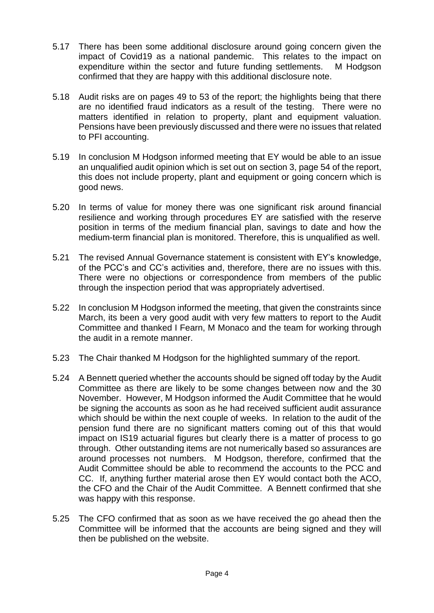- 5.17 There has been some additional disclosure around going concern given the impact of Covid19 as a national pandemic. This relates to the impact on expenditure within the sector and future funding settlements. M Hodgson confirmed that they are happy with this additional disclosure note.
- 5.18 Audit risks are on pages 49 to 53 of the report; the highlights being that there are no identified fraud indicators as a result of the testing. There were no matters identified in relation to property, plant and equipment valuation. Pensions have been previously discussed and there were no issues that related to PFI accounting.
- 5.19 In conclusion M Hodgson informed meeting that EY would be able to an issue an unqualified audit opinion which is set out on section 3, page 54 of the report, this does not include property, plant and equipment or going concern which is good news.
- 5.20 In terms of value for money there was one significant risk around financial resilience and working through procedures EY are satisfied with the reserve position in terms of the medium financial plan, savings to date and how the medium-term financial plan is monitored. Therefore, this is unqualified as well.
- 5.21 The revised Annual Governance statement is consistent with EY's knowledge, of the PCC's and CC's activities and, therefore, there are no issues with this. There were no objections or correspondence from members of the public through the inspection period that was appropriately advertised.
- 5.22 In conclusion M Hodgson informed the meeting, that given the constraints since March, its been a very good audit with very few matters to report to the Audit Committee and thanked I Fearn, M Monaco and the team for working through the audit in a remote manner.
- 5.23 The Chair thanked M Hodgson for the highlighted summary of the report.
- 5.24 A Bennett queried whether the accounts should be signed off today by the Audit Committee as there are likely to be some changes between now and the 30 November. However, M Hodgson informed the Audit Committee that he would be signing the accounts as soon as he had received sufficient audit assurance which should be within the next couple of weeks. In relation to the audit of the pension fund there are no significant matters coming out of this that would impact on IS19 actuarial figures but clearly there is a matter of process to go through. Other outstanding items are not numerically based so assurances are around processes not numbers. M Hodgson, therefore, confirmed that the Audit Committee should be able to recommend the accounts to the PCC and CC. If, anything further material arose then EY would contact both the ACO, the CFO and the Chair of the Audit Committee. A Bennett confirmed that she was happy with this response.
- 5.25 The CFO confirmed that as soon as we have received the go ahead then the Committee will be informed that the accounts are being signed and they will then be published on the website.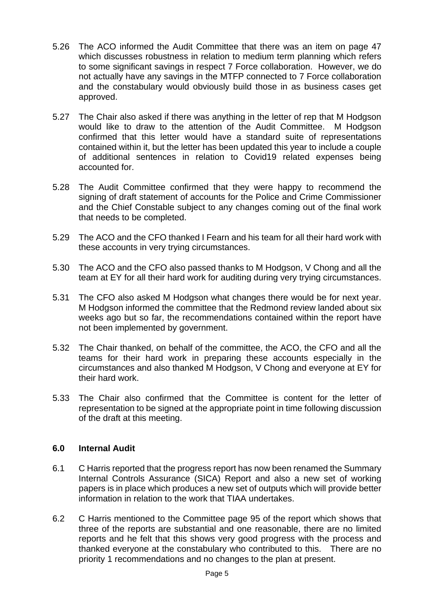- 5.26 The ACO informed the Audit Committee that there was an item on page 47 which discusses robustness in relation to medium term planning which refers to some significant savings in respect 7 Force collaboration. However, we do not actually have any savings in the MTFP connected to 7 Force collaboration and the constabulary would obviously build those in as business cases get approved.
- 5.27 The Chair also asked if there was anything in the letter of rep that M Hodgson would like to draw to the attention of the Audit Committee. M Hodgson confirmed that this letter would have a standard suite of representations contained within it, but the letter has been updated this year to include a couple of additional sentences in relation to Covid19 related expenses being accounted for.
- 5.28 The Audit Committee confirmed that they were happy to recommend the signing of draft statement of accounts for the Police and Crime Commissioner and the Chief Constable subject to any changes coming out of the final work that needs to be completed.
- 5.29 The ACO and the CFO thanked I Fearn and his team for all their hard work with these accounts in very trying circumstances.
- 5.30 The ACO and the CFO also passed thanks to M Hodgson, V Chong and all the team at EY for all their hard work for auditing during very trying circumstances.
- 5.31 The CFO also asked M Hodgson what changes there would be for next year. M Hodgson informed the committee that the Redmond review landed about six weeks ago but so far, the recommendations contained within the report have not been implemented by government.
- 5.32 The Chair thanked, on behalf of the committee, the ACO, the CFO and all the teams for their hard work in preparing these accounts especially in the circumstances and also thanked M Hodgson, V Chong and everyone at EY for their hard work.
- 5.33 The Chair also confirmed that the Committee is content for the letter of representation to be signed at the appropriate point in time following discussion of the draft at this meeting.

## **6.0 Internal Audit**

- 6.1 C Harris reported that the progress report has now been renamed the Summary Internal Controls Assurance (SICA) Report and also a new set of working papers is in place which produces a new set of outputs which will provide better information in relation to the work that TIAA undertakes.
- 6.2 C Harris mentioned to the Committee page 95 of the report which shows that three of the reports are substantial and one reasonable, there are no limited reports and he felt that this shows very good progress with the process and thanked everyone at the constabulary who contributed to this. There are no priority 1 recommendations and no changes to the plan at present.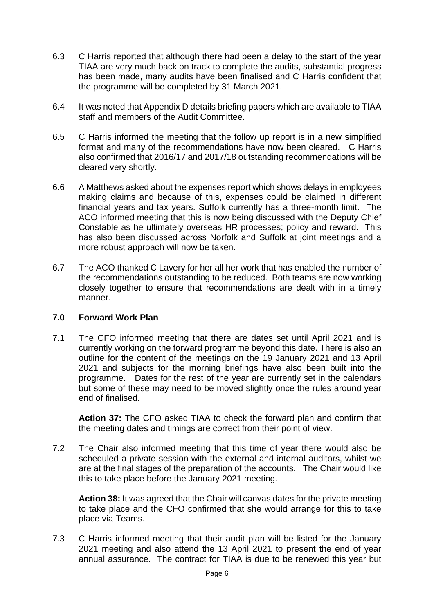- 6.3 C Harris reported that although there had been a delay to the start of the year TIAA are very much back on track to complete the audits, substantial progress has been made, many audits have been finalised and C Harris confident that the programme will be completed by 31 March 2021.
- 6.4 It was noted that Appendix D details briefing papers which are available to TIAA staff and members of the Audit Committee.
- 6.5 C Harris informed the meeting that the follow up report is in a new simplified format and many of the recommendations have now been cleared. C Harris also confirmed that 2016/17 and 2017/18 outstanding recommendations will be cleared very shortly.
- 6.6 A Matthews asked about the expenses report which shows delays in employees making claims and because of this, expenses could be claimed in different financial years and tax years. Suffolk currently has a three-month limit. The ACO informed meeting that this is now being discussed with the Deputy Chief Constable as he ultimately overseas HR processes; policy and reward. This has also been discussed across Norfolk and Suffolk at joint meetings and a more robust approach will now be taken.
- 6.7 The ACO thanked C Lavery for her all her work that has enabled the number of the recommendations outstanding to be reduced. Both teams are now working closely together to ensure that recommendations are dealt with in a timely manner.

#### **7.0 Forward Work Plan**

7.1 The CFO informed meeting that there are dates set until April 2021 and is currently working on the forward programme beyond this date. There is also an outline for the content of the meetings on the 19 January 2021 and 13 April 2021 and subjects for the morning briefings have also been built into the programme. Dates for the rest of the year are currently set in the calendars but some of these may need to be moved slightly once the rules around year end of finalised.

**Action 37:** The CFO asked TIAA to check the forward plan and confirm that the meeting dates and timings are correct from their point of view.

7.2 The Chair also informed meeting that this time of year there would also be scheduled a private session with the external and internal auditors, whilst we are at the final stages of the preparation of the accounts. The Chair would like this to take place before the January 2021 meeting.

**Action 38:** It was agreed that the Chair will canvas dates for the private meeting to take place and the CFO confirmed that she would arrange for this to take place via Teams.

7.3 C Harris informed meeting that their audit plan will be listed for the January 2021 meeting and also attend the 13 April 2021 to present the end of year annual assurance. The contract for TIAA is due to be renewed this year but